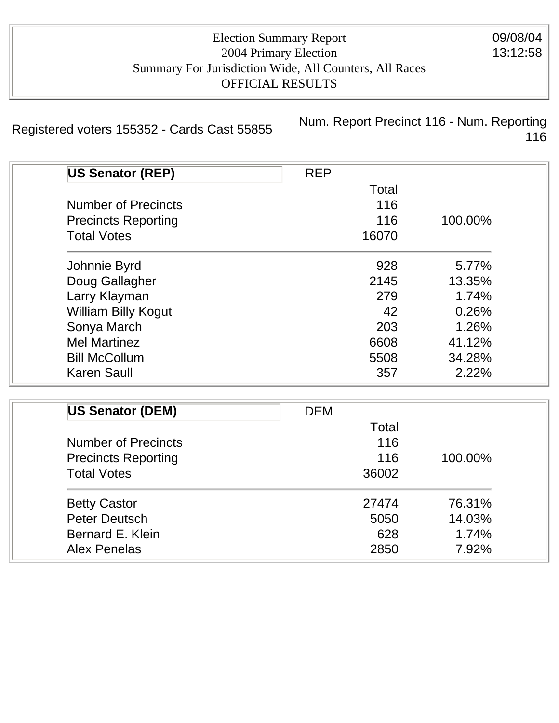| <b>Election Summary Report</b>                         |
|--------------------------------------------------------|
| 2004 Primary Election                                  |
| Summary For Jurisdiction Wide, All Counters, All Races |
| <b>OFFICIAL RESULTS</b>                                |

Registered voters 155352 - Cards Cast 55855<br>116 116

| <b>US Senator (REP)</b>    | <b>REP</b> |         |
|----------------------------|------------|---------|
|                            | Total      |         |
| <b>Number of Precincts</b> | 116        |         |
| <b>Precincts Reporting</b> | 116        | 100.00% |
| <b>Total Votes</b>         | 16070      |         |
| Johnnie Byrd               | 928        | 5.77%   |
| Doug Gallagher             | 2145       | 13.35%  |
| Larry Klayman              | 279        | 1.74%   |
| <b>William Billy Kogut</b> | 42         | 0.26%   |
| Sonya March                | 203        | 1.26%   |
| <b>Mel Martinez</b>        | 6608       | 41.12%  |
| <b>Bill McCollum</b>       | 5508       | 34.28%  |
| <b>Karen Saull</b>         | 357        | 2.22%   |

| US Senator (DEM)                                 | <b>DEM</b> |         |
|--------------------------------------------------|------------|---------|
|                                                  | Total      |         |
| <b>Number of Precincts</b>                       | 116        |         |
| <b>Precincts Reporting</b><br><b>Total Votes</b> | 116        | 100.00% |
|                                                  | 36002      |         |
| <b>Betty Castor</b>                              | 27474      | 76.31%  |
| <b>Peter Deutsch</b>                             | 5050       | 14.03%  |
| Bernard E. Klein                                 | 628        | 1.74%   |
| <b>Alex Penelas</b>                              | 2850       | 7.92%   |

09/08/04 13:12:58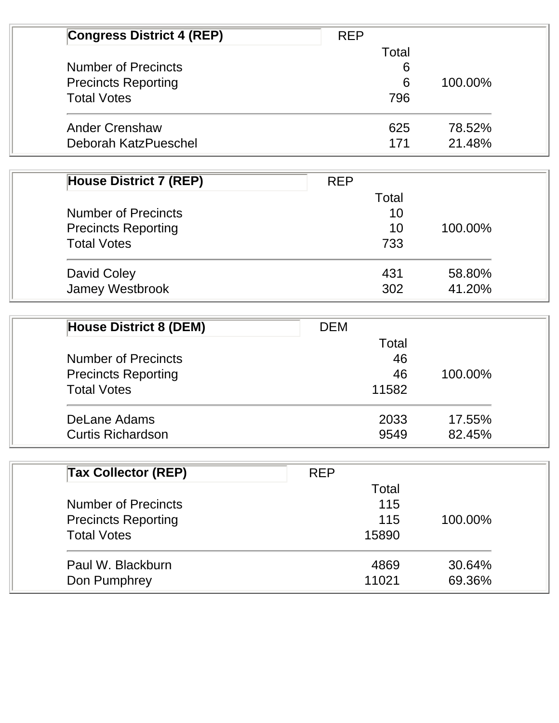| <b>Congress District 4 (REP)</b> | <b>REP</b> |         |
|----------------------------------|------------|---------|
|                                  | Total      |         |
| <b>Number of Precincts</b>       | 6          |         |
| <b>Precincts Reporting</b>       | 6          | 100.00% |
| <b>Total Votes</b>               | 796        |         |
| <b>Ander Crenshaw</b>            | 625        | 78.52%  |
| Deborah KatzPueschel             | 171        | 21.48%  |

| <b>House District 7 (REP)</b> | <b>REP</b> |         |
|-------------------------------|------------|---------|
|                               | Total      |         |
| <b>Number of Precincts</b>    | 10         |         |
| <b>Precincts Reporting</b>    | 10         | 100.00% |
| <b>Total Votes</b>            | 733        |         |
| David Coley                   | 431        | 58.80%  |
| <b>Jamey Westbrook</b>        | 302        | 41.20%  |

| <b>House District 8 (DEM)</b> | <b>DEM</b> |         |
|-------------------------------|------------|---------|
|                               | Total      |         |
| <b>Number of Precincts</b>    | 46         |         |
| <b>Precincts Reporting</b>    | 46         | 100.00% |
| <b>Total Votes</b>            | 11582      |         |
| DeLane Adams                  | 2033       | 17.55%  |
| <b>Curtis Richardson</b>      | 9549       | 82.45%  |

| <b>Tax Collector (REP)</b> | <b>REP</b> |         |
|----------------------------|------------|---------|
|                            | Total      |         |
| <b>Number of Precincts</b> | 115        |         |
| <b>Precincts Reporting</b> | 115        | 100.00% |
| <b>Total Votes</b>         | 15890      |         |
| Paul W. Blackburn          | 4869       | 30.64%  |
| Don Pumphrey               | 11021      | 69.36%  |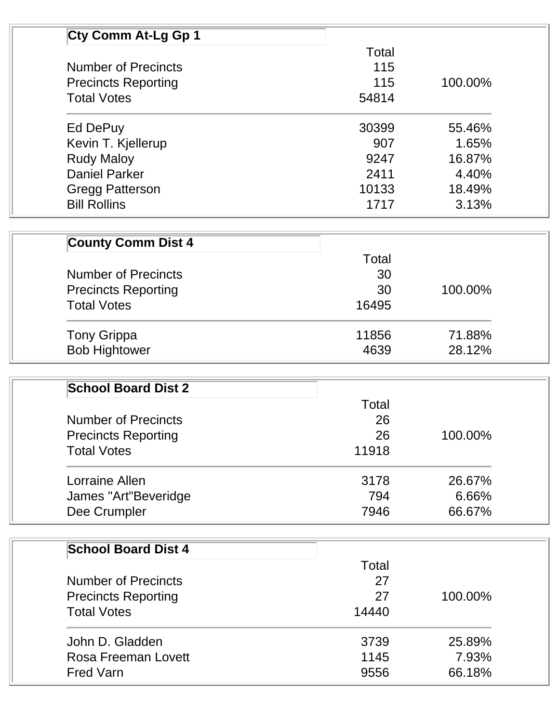| Cty Comm At-Lg Gp 1                              |              |         |
|--------------------------------------------------|--------------|---------|
|                                                  | Total        |         |
| <b>Number of Precincts</b>                       | 115          |         |
| <b>Precincts Reporting</b>                       | 115          | 100.00% |
| <b>Total Votes</b>                               | 54814        |         |
| Ed DePuy                                         | 30399        | 55.46%  |
| Kevin T. Kjellerup                               | 907          | 1.65%   |
| <b>Rudy Maloy</b>                                | 9247         | 16.87%  |
| <b>Daniel Parker</b>                             | 2411         | 4.40%   |
| <b>Gregg Patterson</b>                           | 10133        | 18.49%  |
| <b>Bill Rollins</b>                              | 1717         | 3.13%   |
| <b>County Comm Dist 4</b>                        |              |         |
|                                                  | Total        |         |
| <b>Number of Precincts</b>                       | 30           |         |
|                                                  | 30           | 100.00% |
| <b>Precincts Reporting</b><br><b>Total Votes</b> | 16495        |         |
|                                                  |              |         |
| <b>Tony Grippa</b>                               | 11856        | 71.88%  |
| <b>Bob Hightower</b>                             | 4639         | 28.12%  |
|                                                  |              |         |
| <b>School Board Dist 2</b>                       |              |         |
|                                                  | Total        |         |
| <b>Number of Precincts</b>                       | 26           |         |
| <b>Precincts Reporting</b>                       | 26           | 100.00% |
| <b>Total Votes</b>                               | 11918        |         |
| Lorraine Allen                                   | 3178         | 26.67%  |
| James "Art"Beveridge                             | 794          | 6.66%   |
| Dee Crumpler                                     | 7946         | 66.67%  |
|                                                  |              |         |
| <b>School Board Dist 4</b>                       | <b>Total</b> |         |
| <b>Number of Precincts</b>                       | 27           |         |
|                                                  | 27           |         |
| <b>Precincts Reporting</b>                       |              | 100.00% |
| <b>Total Votes</b>                               | 14440        |         |
| John D. Gladden                                  | 3739         | 25.89%  |
| <b>Rosa Freeman Lovett</b>                       | 1145         | 7.93%   |
| <b>Fred Varn</b>                                 | 9556         | 66.18%  |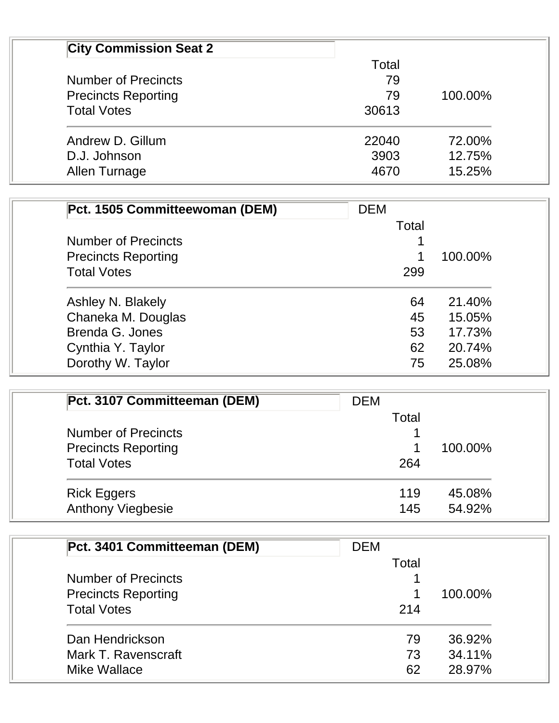| <b>City Commission Seat 2</b> |       |         |
|-------------------------------|-------|---------|
|                               | Total |         |
| <b>Number of Precincts</b>    | 79    |         |
| <b>Precincts Reporting</b>    | 79    | 100.00% |
| <b>Total Votes</b>            | 30613 |         |
| Andrew D. Gillum              | 22040 | 72.00%  |
| D.J. Johnson                  | 3903  | 12.75%  |
| Allen Turnage                 | 4670  | 15.25%  |

| Pct. 1505 Committeewoman (DEM) | <b>DEM</b> |         |
|--------------------------------|------------|---------|
|                                | Total      |         |
| <b>Number of Precincts</b>     |            |         |
| <b>Precincts Reporting</b>     |            | 100.00% |
| <b>Total Votes</b>             | 299        |         |
| Ashley N. Blakely              | 64         | 21.40%  |
| Chaneka M. Douglas             | 45         | 15.05%  |
| Brenda G. Jones                | 53         | 17.73%  |
| Cynthia Y. Taylor              | 62         | 20.74%  |
| Dorothy W. Taylor              | 75         | 25.08%  |

| Pct. 3107 Committeeman (DEM) | <b>DEM</b> |         |
|------------------------------|------------|---------|
|                              | Total      |         |
| <b>Number of Precincts</b>   |            |         |
| <b>Precincts Reporting</b>   |            | 100.00% |
| <b>Total Votes</b>           | 264        |         |
| <b>Rick Eggers</b>           | 119        | 45.08%  |
| <b>Anthony Viegbesie</b>     | 145        | 54.92%  |

| Pct. 3401 Committeeman (DEM)                             | <b>DEM</b> |         |
|----------------------------------------------------------|------------|---------|
| <b>Number of Precincts</b><br><b>Precincts Reporting</b> | Total      | 100.00% |
|                                                          |            |         |
|                                                          |            |         |
| Dan Hendrickson                                          | 79         | 36.92%  |
| Mark T. Ravenscraft                                      | 73         | 34.11%  |
| Mike Wallace                                             | 62         | 28.97%  |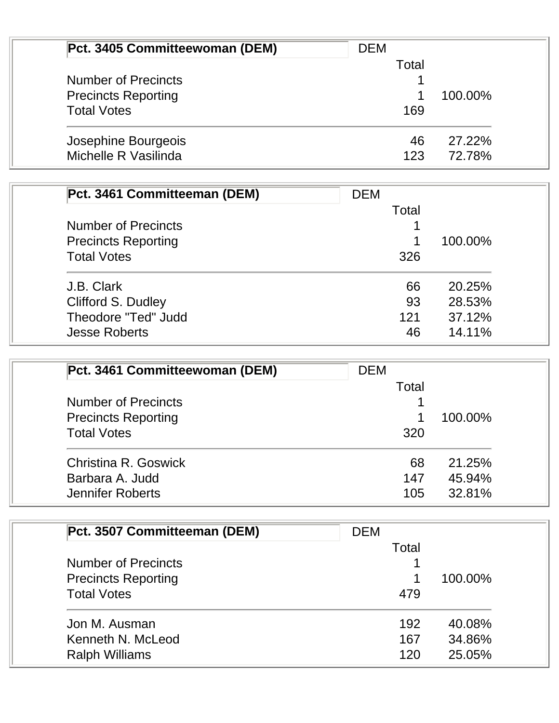| Pct. 3405 Committeewoman (DEM) | <b>DEM</b> |         |
|--------------------------------|------------|---------|
| <b>Number of Precincts</b>     | Total      |         |
|                                |            |         |
| <b>Precincts Reporting</b>     |            | 100.00% |
| <b>Total Votes</b>             | 169        |         |
| Josephine Bourgeois            | 46         | 27.22%  |
| Michelle R Vasilinda           | 123        | 72.78%  |

| Pct. 3461 Committeeman (DEM) | <b>DEM</b> |         |
|------------------------------|------------|---------|
|                              | Total      |         |
| <b>Number of Precincts</b>   |            |         |
| <b>Precincts Reporting</b>   |            | 100.00% |
| <b>Total Votes</b>           | 326        |         |
| J.B. Clark                   | 66         | 20.25%  |
| Clifford S. Dudley           | 93         | 28.53%  |
| Theodore "Ted" Judd          | 121        | 37.12%  |
| <b>Jesse Roberts</b>         | 46         | 14.11%  |

| Pct. 3461 Committeewoman (DEM)                           | <b>DEM</b> |         |
|----------------------------------------------------------|------------|---------|
|                                                          | Total      |         |
| <b>Number of Precincts</b><br><b>Precincts Reporting</b> |            | 100.00% |
|                                                          |            |         |
| <b>Total Votes</b>                                       | 320        |         |
| Christina R. Goswick                                     | 68         | 21.25%  |
| Barbara A. Judd                                          | 147        | 45.94%  |
| <b>Jennifer Roberts</b>                                  | 105        | 32.81%  |

| Pct. 3507 Committeeman (DEM)                                                   | <b>DEM</b> |         |  |
|--------------------------------------------------------------------------------|------------|---------|--|
|                                                                                | Total      |         |  |
| <b>Number of Precincts</b><br><b>Precincts Reporting</b><br><b>Total Votes</b> |            | 100.00% |  |
|                                                                                | 1          |         |  |
|                                                                                | 479        |         |  |
| Jon M. Ausman                                                                  | 192        | 40.08%  |  |
| Kenneth N. McLeod                                                              | 167        | 34.86%  |  |
| <b>Ralph Williams</b>                                                          | 120        | 25.05%  |  |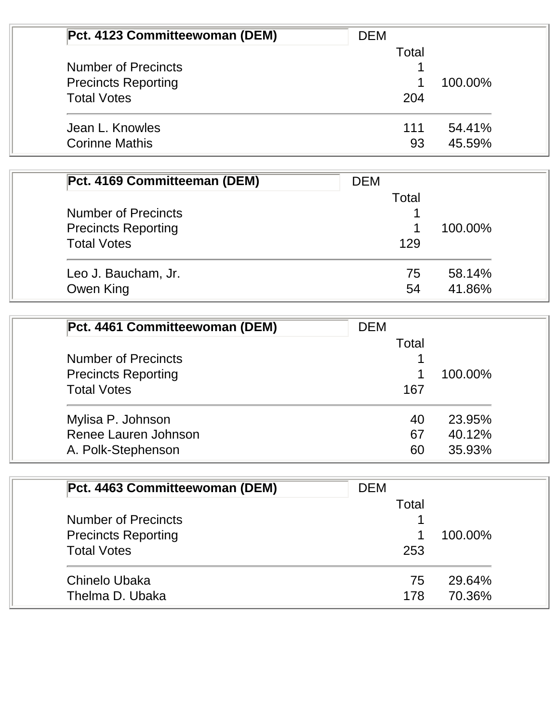| Pct. 4123 Committeewoman (DEM) | <b>DEM</b> |         |
|--------------------------------|------------|---------|
|                                | Total      |         |
| <b>Number of Precincts</b>     |            |         |
| <b>Precincts Reporting</b>     |            | 100.00% |
| <b>Total Votes</b>             | 204        |         |
| Jean L. Knowles                | 111        | 54.41%  |
| <b>Corinne Mathis</b>          | 93         | 45.59%  |

| Pct. 4169 Committeeman (DEM) | <b>DEM</b> |         |
|------------------------------|------------|---------|
|                              | Total      |         |
| <b>Number of Precincts</b>   |            |         |
| <b>Precincts Reporting</b>   |            | 100.00% |
| <b>Total Votes</b>           | 129        |         |
| Leo J. Baucham, Jr.          | 75         | 58.14%  |
| Owen King                    | 54         | 41.86%  |

| Pct. 4461 Committeewoman (DEM) | <b>DEM</b> |         |  |
|--------------------------------|------------|---------|--|
| <b>Number of Precincts</b>     | Total      |         |  |
|                                |            |         |  |
| <b>Precincts Reporting</b>     |            | 100.00% |  |
| <b>Total Votes</b>             | 167        |         |  |
| Mylisa P. Johnson              | 40         | 23.95%  |  |
| Renee Lauren Johnson           | 67         | 40.12%  |  |
| A. Polk-Stephenson             | 60         | 35.93%  |  |

| Pct. 4463 Committeewoman (DEM) | <b>DEM</b> |         |
|--------------------------------|------------|---------|
|                                | Total      |         |
| <b>Number of Precincts</b>     |            |         |
| <b>Precincts Reporting</b>     |            | 100.00% |
| <b>Total Votes</b>             | 253        |         |
| Chinelo Ubaka                  | 75         | 29.64%  |
| Thelma D. Ubaka                | 178        | 70.36%  |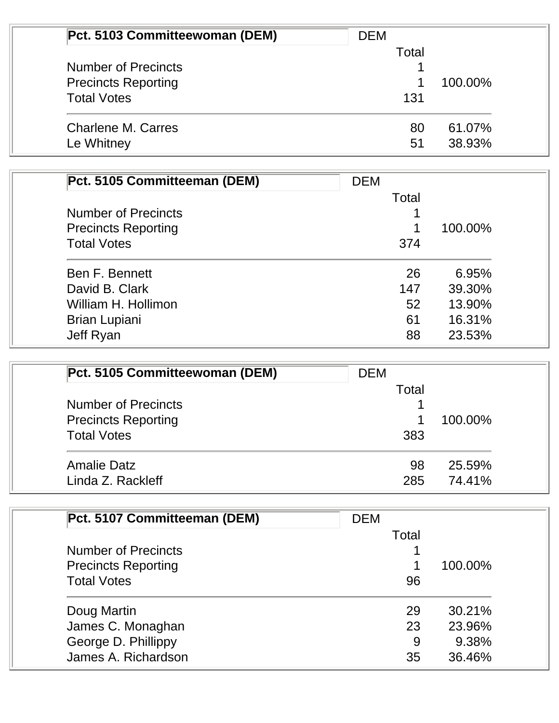| Pct. 5103 Committeewoman (DEM) | <b>DEM</b> |         |
|--------------------------------|------------|---------|
|                                | Total      |         |
| <b>Number of Precincts</b>     |            |         |
| <b>Precincts Reporting</b>     |            | 100.00% |
| <b>Total Votes</b>             | 131        |         |
| <b>Charlene M. Carres</b>      | 80         | 61.07%  |
| Le Whitney                     | 51         | 38.93%  |

| Pct. 5105 Committeeman (DEM) | <b>DEM</b> |         |
|------------------------------|------------|---------|
|                              | Total      |         |
| <b>Number of Precincts</b>   |            |         |
| <b>Precincts Reporting</b>   |            | 100.00% |
| <b>Total Votes</b>           | 374        |         |
| Ben F. Bennett               | 26         | 6.95%   |
| David B. Clark               | 147        | 39.30%  |
| William H. Hollimon          | 52         | 13.90%  |
| <b>Brian Lupiani</b>         | 61         | 16.31%  |
| Jeff Ryan                    | 88         | 23.53%  |

| Pct. 5105 Committeewoman (DEM) | <b>DEM</b> |         |
|--------------------------------|------------|---------|
|                                | Total      |         |
| <b>Number of Precincts</b>     |            |         |
| <b>Precincts Reporting</b>     |            | 100.00% |
| <b>Total Votes</b>             | 383        |         |
| <b>Amalie Datz</b>             | 98         | 25.59%  |
| Linda Z. Rackleff              | 285        | 74.41%  |

| Pct. 5107 Committeeman (DEM)                             | <b>DEM</b> |         |
|----------------------------------------------------------|------------|---------|
|                                                          | Total      |         |
| <b>Number of Precincts</b><br><b>Precincts Reporting</b> |            | 100.00% |
|                                                          |            |         |
| Doug Martin                                              | 29         | 30.21%  |
| James C. Monaghan                                        | 23         | 23.96%  |
| George D. Phillippy                                      | 9          | 9.38%   |
| James A. Richardson                                      | 35         | 36.46%  |